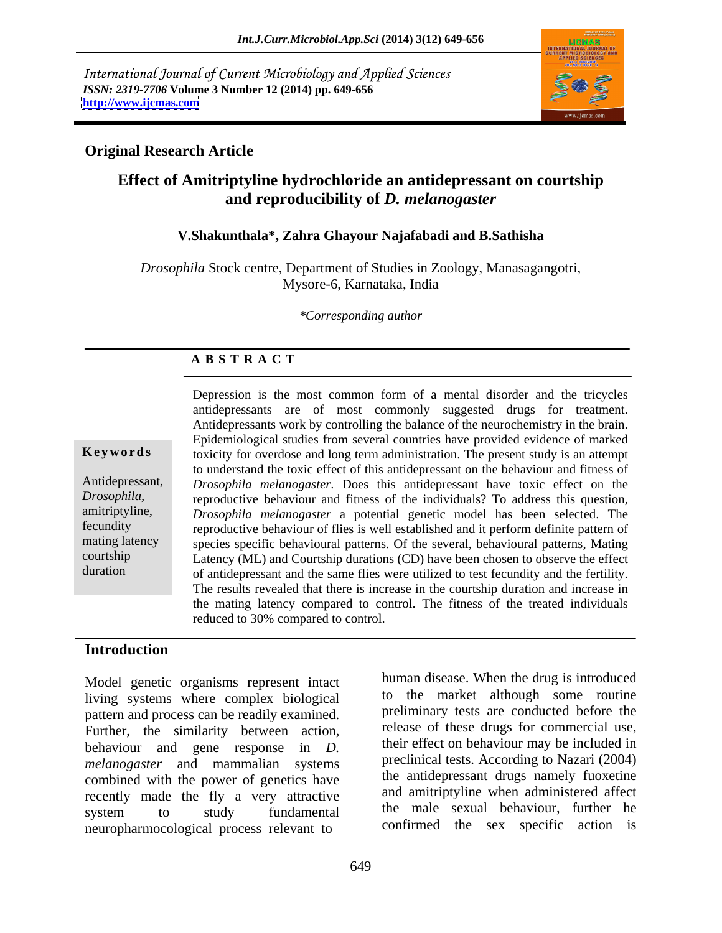International Journal of Current Microbiology and Applied Sciences *ISSN: 2319-7706* **Volume 3 Number 12 (2014) pp. 649-656 <http://www.ijcmas.com>**



## **Original Research Article**

# **Effect of Amitriptyline hydrochloride an antidepressant on courtship and reproducibility of** *D. melanogaster*

### **V.Shakunthala\*, Zahra Ghayour Najafabadi and B.Sathisha**

*Drosophila* Stock centre, Department of Studies in Zoology, Manasagangotri, Mysore-6, Karnataka, India

*\*Corresponding author* 

## **A B S T R A C T**

**Keywords** toxicity for overdose and long term administration. The present study is an attempt Antidepressant, *Drosophila melanogaster*. Does this antidepressant have toxic effect on the *Drosophila,*  reproductive behaviour and fitness of the individuals? To address this question, amitriptyline, *Drosophila melanogaster* a potential genetic model has been selected. The fecundity reproductive behaviour of flies is well established and it perform definite pattern of mating latency species specific behavioural patterns. Of the several, behavioural patterns, Mating courtship Latency (ML) and Courtship durations (CD) have been chosen to observe the effect duration of antidepressant and the same flies were utilized to test fecundity and the fertility. Depression is the most common form of a mental disorder and the tricycles antidepressants are of most commonly suggested drugs for treatment. Antidepressants work by controlling the balance of the neurochemistry in the brain. Epidemiological studies from several countries have provided evidence of marked to understand the toxic effect of this antidepressant on the behaviour and fitness of The results revealed that there is increase in the courtship duration and increase in the mating latency compared to control. The fitness of the treated individuals reduced to 30% compared to control.  $\overline{a}$ 

### **Introduction**

Model genetic organisms represent intact living systems where complex biological pattern and process can be readily examined. Further, the similarity between action, behaviour and gene response in *D. melanogaster* and mammalian systems combined with the power of genetics have recently made the fly a very attractive neuropharmocological process relevant to

system to study fundamental the male sexual behaviour, further he human disease. When the drug is introduced to the market although some routine preliminary tests are conducted before the release of these drugs for commercial use, their effect on behaviour may be included in preclinical tests. According to Nazari (2004) the antidepressant drugs namely fuoxetine and amitriptyline when administered affect the male sexual behaviour, further he confirmed the sex specific action is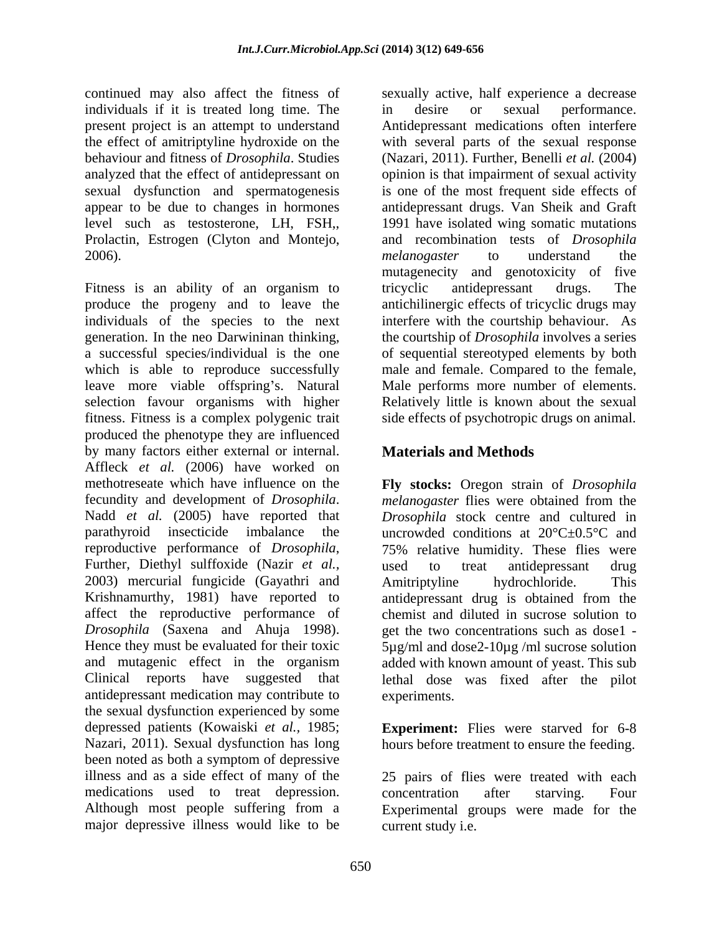individuals if it is treated long time. The  $\qquad$  in desire or sexual performance. present project is an attempt to understand Prolactin, Estrogen (Clyton and Montejo, 2006). The contraction of the contraction of the contraction of the contraction of the contraction of the contraction of the contraction of the contraction of the contraction of the contraction of the contraction of the co

Fitness is an ability of an organism to tricyclic antidepressant drugs. The produce the progeny and to leave the individuals of the species to the next interfere with the courtship behaviour. As generation. In the neo Darwininan thinking, the courtship of *Drosophila* involves a series a successful species/individual is the one of sequential stereotyped elements by both which is able to reproduce successfully male and female. Compared to the female, leave more viable offspring's. Natural selection favour organisms with higher Relatively little is known about the sexual fitness. Fitness is a complex polygenic trait side effects of psychotropic drugs on animal. produced the phenotype they are influenced by many factors either external or internal. Affleck *et al.* (2006) have worked on methotreseate which have influence on the **Fly stocks:** Oregon strain of *Drosophila* fecundity and development of *Drosophila*. In melanogaster flies were obtained from the Nadd *et al.* (2005) have reported that *Drosophila* stock centre and cultured in parathyroid insecticide imbalance the uncrowded conditions at  $20^{\circ}$ C $\pm$ 0.5°C and reproductive performance of *Drosophila*, 75% relative humidity. These flies were<br>Further, Diethyl sulffoxide (Nazir *et al.*, used to treat antidepressant drug 2003) mercurial fungicide (Gayathri and Krishnamurthy, 1981) have reported to affect the reproductive performance of chemist and diluted in sucrose solution to *Drosophila* (Saxena and Ahuja 1998). get the two concentrations such as dose1 - Hence they must be evaluated for their toxic  $5\mu g/ml$  and dose2-10 $\mu g/ml$  sucrose solution and mutagenic effect in the organism added with known amount of yeast. This sub Clinical reports have suggested that lethal dose was fixed after the pilot antidepressant medication may contribute to the sexual dysfunction experienced by some depressed patients (Kowaiski *et al.,* 1985; **Experiment:** Flies were starved for 6-8 Nazari, 2011). Sexual dysfunction has long hours before treatment to ensure the feeding. been noted as both a symptom of depressive illness and as a side effect of many of the medications used to treat depression. concentration after starving. Four Although most people suffering from a Experimental groups were made for the major depressive illness would like to be

continued may also affect the fitness of sexually active, half experience a decrease the effect of amitriptyline hydroxide on the with several parts of the sexual response behaviour and fitness of *Drosophila*. Studies (Nazari, 2011). Further, Benelli *et al.* (2004) analyzed that the effect of antidepressant on opinion is that impairment of sexual activity sexual dysfunction and spermatogenesis is one of the most frequent side effects of appear to be due to changes in hormones antidepressant drugs. Van Sheik and Graft level such as testosterone, LH, FSH,, 1991 have isolated wing somatic mutations in desire or sexual performance. Antidepressant medications often interfere and recombination tests of *Drosophila melanogaster* to understand the mutagenecity and genotoxicity of five tricyclic antidepressant drugs. The antichilinergic effects of tricyclic drugs may Male performs more number of elements.

# **Materials and Methods**

*melanogaster* flies were obtained from the *Drosophila* stock centre and cultured in 75% relative humidity. These flies were used to treat antidepressant drug Amitriptyline hydrochloride. This antidepressant drug is obtained from the experiments.

25 pairs of flies were treated with each concentration after starving. Four current study i.e.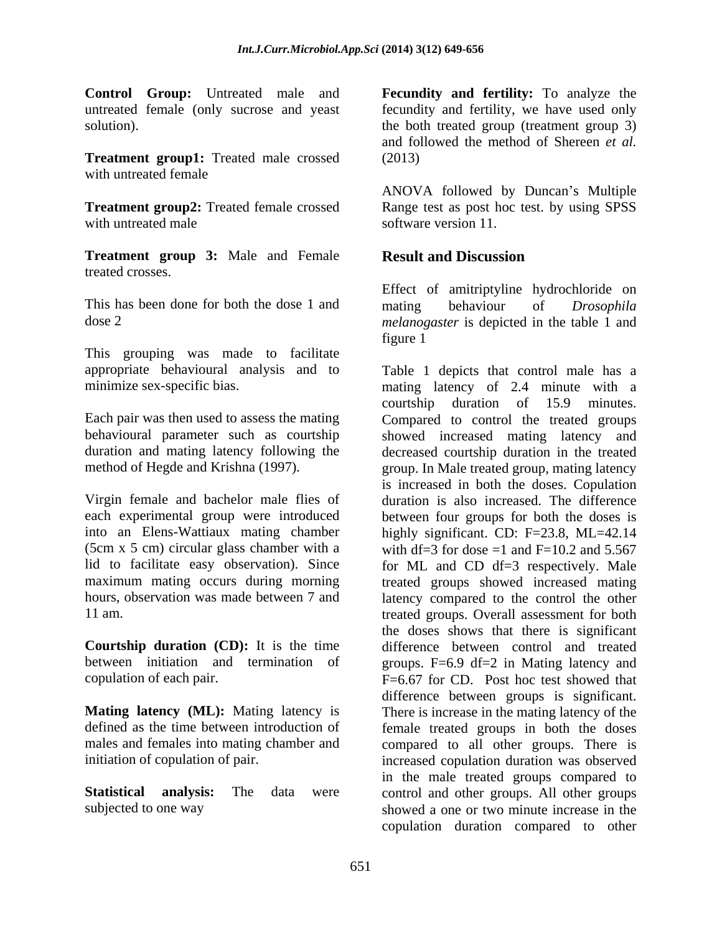**Treatment group1:** Treated male crossed (2013) with untreated female  $\blacksquare$ 

**Treatment group 3:** Male and Female treated crosses.

This has been done for both the dose 1 and mating behaviour of *Drosophila* 

This grouping was made to facilitate

(5cm x 5 cm) circular glass chamber with a

**Courtship duration (CD):** It is the time

**Control Group:** Untreated male and **Fecundity and fertility:** To analyze the untreated female (only sucrose and yeast fecundity and fertility, we have used only solution). The both treated group (treatment group 3) and followed the method of Shereen *et al.* (2013)

**Treatment group2:** Treated female crossed Range test as post hoc test. by using SPSS with untreated male software version 11. ANOVA followed by Duncan's Multiple software version 11.

# **Result and Discussion**

dose 2 *melanogaster* is depicted in the table 1 and Effect of amitriptyline hydrochloride on mating behaviour of *Drosophila* figure 1

appropriate behavioural analysis and to Table 1 depicts that control male has a minimize sex-specific bias. mating latency of 2.4 minute with a Each pair was then used to assess the mating Compared to control the treated groups behavioural parameter such as courtship showed increased mating latency and duration and mating latency following the decreased courtship duration in the treated method of Hegde and Krishna (1997). group. In Male treated group, mating latency Virgin female and bachelor male flies of duration is also increased. The difference each experimental group were introduced between four groups for both the doses is into an Elens-Wattiaux mating chamber highly significant. CD: F=23.8, ML=42.14 lid to facilitate easy observation). Since for ML and CD df=3 respectively. Male maximum mating occurs during morning treated groups showed increased mating hours, observation was made between 7 and latency compared to the control the other 11 am. treated groups. Overall assessment for both between initiation and termination of groups. F=6.9 df=2 in Mating latency and copulation of each pair. F=6.67 for CD. Post hoc test showed that **Mating latency** (ML): Mating latency is There is increase in the mating latency of the defined as the time between introduction of female treated groups in both the doses males and females into mating chamber and compared to all other groups. There is initiation of copulation of pair. The increased copulation duration was observed **Statistical analysis:** The data were control and other groups. All other groups subjected to one way showed a one or two minute increase in the courtship duration of 15.9 minutes. is increased in both the doses. Copulation with df=3 for dose =1 and  $F=10.2$  and 5.567 the doses shows that there is significant difference between control and treated difference between groups is significant. in the male treated groups compared to copulation duration compared to other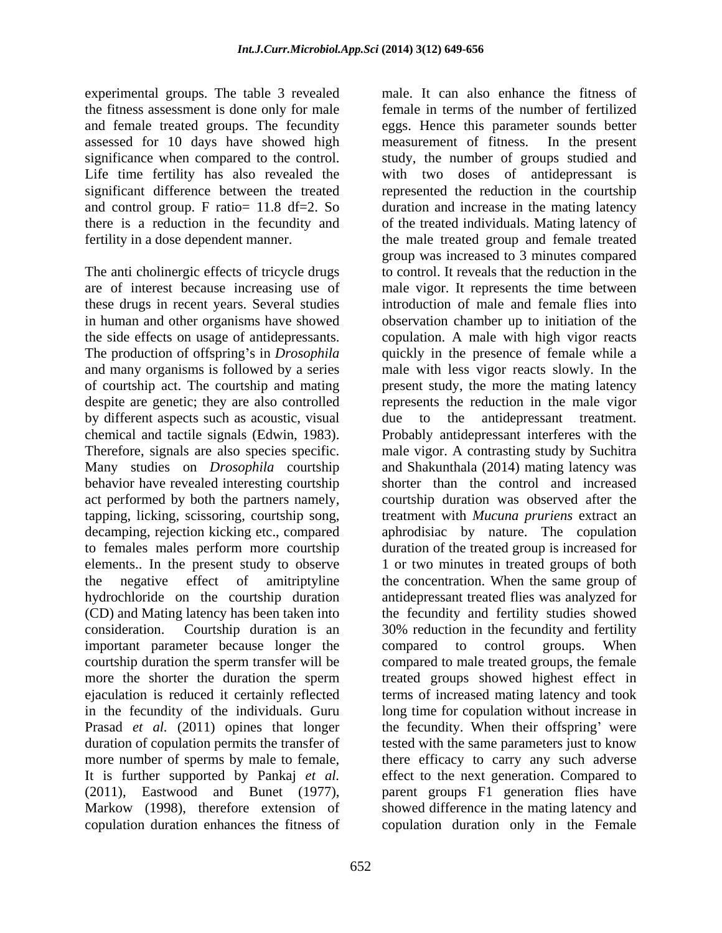experimental groups. The table 3 revealed the fitness assessment is done only for male assessed for 10 days have showed high measurement of fitness. In the present

The anti cholinergic effects of tricycle drugs are of interest because increasing use of of courtship act. The courtship and mating by different aspects such as acoustic, visual decamping, rejection kicking etc., compared hydrochloride on the courtship duration important parameter because longer the compared to control groups. When copulation duration enhances the fitness of copulation duration only in the Female

and female treated groups. The fecundity eggs. Hence this parameter sounds better significance when compared to the control. study, the number of groups studied and Life time fertility has also revealed the with two doses of antidepressant is significant difference between the treated represented the reduction in the courtship and control group. F ratio= 11.8 df=2. So duration and increase in the mating latency there is a reduction in the fecundity and of the treated individuals. Mating latency of fertility in a dose dependent manner. the male treated group and female treated these drugs in recent years. Several studies introduction of male and female flies into in human and other organisms have showed observation chamber up to initiation of the the side effects on usage of antidepressants. copulation. A male with high vigor reacts The production of offspring's in *Drosophila* quickly in the presence of female while a and many organisms is followed by a series male with less vigor reacts slowly. In the despite are genetic; they are also controlled represents the reduction in the male vigor chemical and tactile signals (Edwin, 1983). Probably antidepressant interferes with the Therefore, signals are also species specific. male vigor. A contrasting study by Suchitra Many studies on *Drosophila* courtship and Shakunthala (2014) mating latency was behavior have revealed interesting courtship shorter than the control and increased act performed by both the partners namely, courtship duration was observed after the tapping, licking, scissoring, courtship song, treatment with *Mucuna pruriens* extract an to females males perform more courtship duration of the treated group is increased for elements.. In the present study to observe 1 or two minutes in treated groups of both the negative effect of amitriptyline the concentration. When the same group of (CD) and Mating latency has been taken into the fecundity and fertility studies showed consideration. Courtship duration is an 30% reduction in the fecundity and fertility courtship duration the sperm transfer will be compared to male treated groups, the female more the shorter the duration the sperm treated groups showed highest effect in ejaculation is reduced it certainly reflected termsof increased mating latency and took in the fecundity of the individuals. Guru long time for copulation without increase in Prasad *et al.* (2011) opines that longer the fecundity. When their offspring' were duration of copulation permits the transfer of tested with the same parameters just to know more number of sperms by male to female, there efficacy to carry any such adverse It is further supported by Pankaj *et al.* effect to the next generation. Compared to (2011), Eastwood and Bunet (1977), parent groups F1 generation flies have Markow (1998), therefore extension of showed difference in the mating latency and male. It can also enhance the fitness of female in terms of the number of fertilized measurement of fitness. In the present group was increased to 3 minutes compared to control. It reveals that the reduction in the male vigor. It represents the time between present study, the more the mating latency antidepressant treatment. aphrodisiac by nature. The copulation antidepressant treated flies was analyzed for compared to control groups. When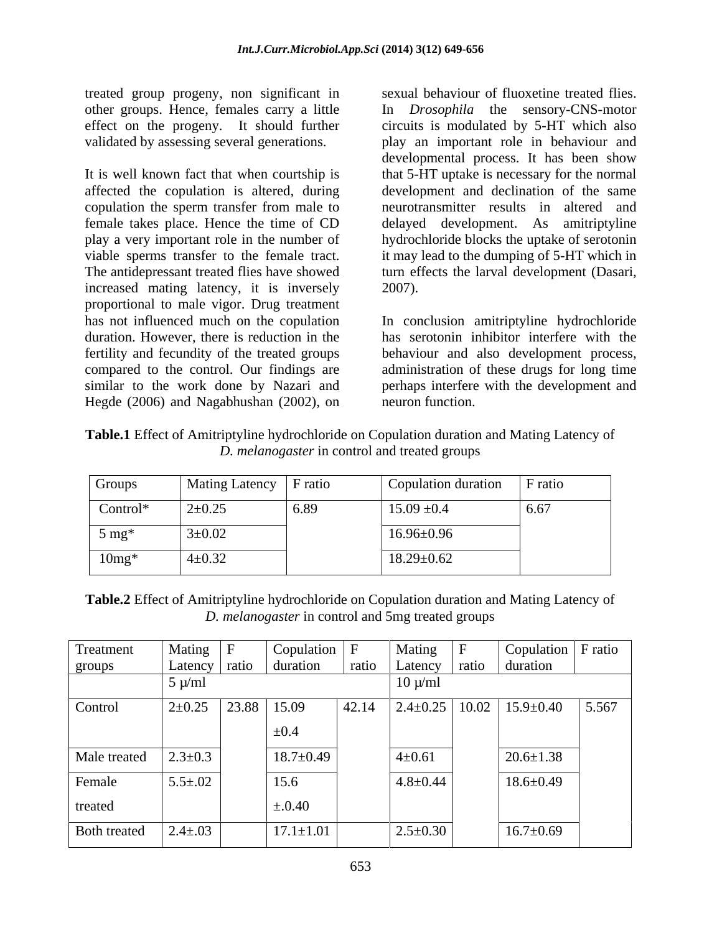treated group progeny, non significant in other groups. Hence, females carry a little

affected the copulation is altered, during copulation the sperm transfer from male to increased mating latency, it is inversely 2007). proportional to male vigor. Drug treatment has not influenced much on the copulation In conclusion amitriptyline hydrochloride duration. However, there is reduction in the has serotonin inhibitor interfere with the fertility and fecundity of the treated groups behaviour and also development process, compared to the control. Our findings are administration of these drugs for long time similar to the work done by Nazari and perhaps interfere with the development and Hegde (2006) and Nagabhushan (2002), on neuron function.

effect on the progeny. It should further circuits is modulated by 5-HT which also validated by assessing several generations. play an important role in behaviour and It is well known fact that when courtship is that 5-HT uptake is necessary for the normal female takes place. Hence the time of CD delayed development. As amitriptyline play a very important role in the number of hydrochloride blocks the uptake of serotonin viable sperms transfer to the female tract. it may lead to the dumping of 5-HT which in The antidepressant treated flies have showed turn effects the larval development (Dasari, sexual behaviour of fluoxetine treated flies. In *Drosophila* the sensory-CNS-motor developmental process. It has been show development and declination of the same neurotransmitter results in altered and 2007).

neuron function.

**Table.1** Effect of Amitriptyline hydrochloride on Copulation duration and Mating Latency of *D. melanogaster* in control and treated groups

| Groups           | Mating Latency   F ratio |      | Copulation duration | F ratio |
|------------------|--------------------------|------|---------------------|---------|
| $Control*$       | $2 \pm 0.25$             | 6.89 | $15.09 \pm 0.4$     | 6.67    |
| $5 \text{ mg}^*$ | $3 \pm 0.02$             |      | $16.96 \pm 0.96$    |         |
| $10mg*$          | $4 \pm 0.32$             |      | $18.29 \pm 0.62$    |         |

**Table.2** Effect of Amitriptyline hydrochloride on Copulation duration and Mating Latency of *D. melanogaster* in control and 5mg treated groups

| Treatment           | Mating $ F $            | $\sim$ Copulation $\mid$ F |       | Mating         | $\mathbf{F}$ | $\vert$ Copulation $\vert$ F ratio               |       |
|---------------------|-------------------------|----------------------------|-------|----------------|--------------|--------------------------------------------------|-------|
| groups              |                         | Latency ratio duration     |       |                |              | ratio   Latency   ratio   duration               |       |
|                     | $5 \mu/ml$              |                            |       | $10 \mu/ml$    |              |                                                  |       |
| Control             | $2\pm 0.25$ 23.88 15.09 |                            | 42.14 |                |              | $\vert$ 2.4±0.25 $\vert$ 10.02 $\vert$ 15.9±0.40 | 5.567 |
|                     |                         | $\pm 0.4$                  |       |                |              |                                                  |       |
| Male treated        | $2.3 \pm 0.3$           | $18.7 \pm 0.49$            |       | $4 \pm 0.61$   |              | $20.6 \pm 1.38$                                  |       |
| Female              | $5.5 \pm .02$           | 15.6                       |       | $4.8 \pm 0.44$ |              | $18.6 \pm 0.49$                                  |       |
| treated             |                         | $\pm .0.40$                |       |                |              |                                                  |       |
| <b>Both treated</b> | $2.4 \pm .03$           | $17.1 \pm 1.01$            |       | $2.5 \pm 0.30$ |              | $16.7 \pm 0.69$                                  |       |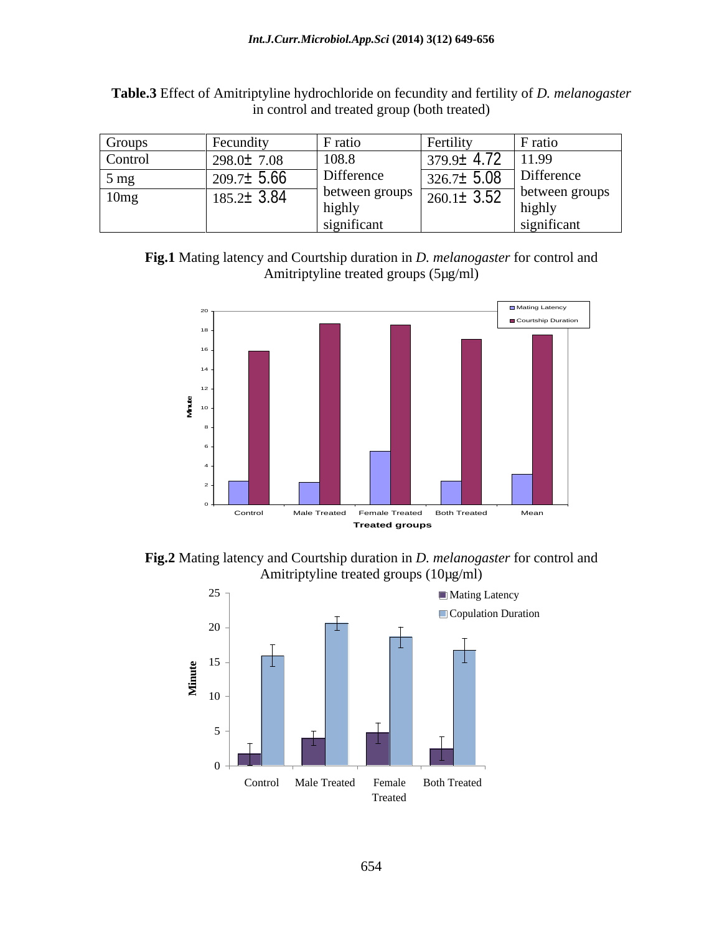| Groups           | Fecundity        | F ratio                       | Fertility        | F ratio                       |
|------------------|------------------|-------------------------------|------------------|-------------------------------|
| Control          | $298.0 \pm 7.08$ | 108.8                         | $379.9 \pm 4.72$ | 11.99                         |
| $5 \text{ mg}$   | $209.7 \pm 5.66$ | Difference                    | $326.7 \pm 5.08$ | Difference                    |
| 10 <sub>mg</sub> | $185.2 \pm 3.84$ | between groups<br>highly      | $260.1 \pm 3.52$ | 1 between groups<br>highly    |
|                  |                  | $\cdot$ $\sim$<br>significant |                  | $\cdot$ $\sim$<br>significant |

**Table.3** Effect of Amitriptyline hydrochloride on fecundity and fertility of *D. melanogaster* in control and treated group (both treated)

**Fig.1** Mating latency and Courtship duration in *D. melanogaster* for control and Amitriptyline treated groups (5µg/ml)



**Fig.2** Mating latency and Courtship duration in *D. melanogaster* for control and Amitriptyline treated groups (10µg/ml)

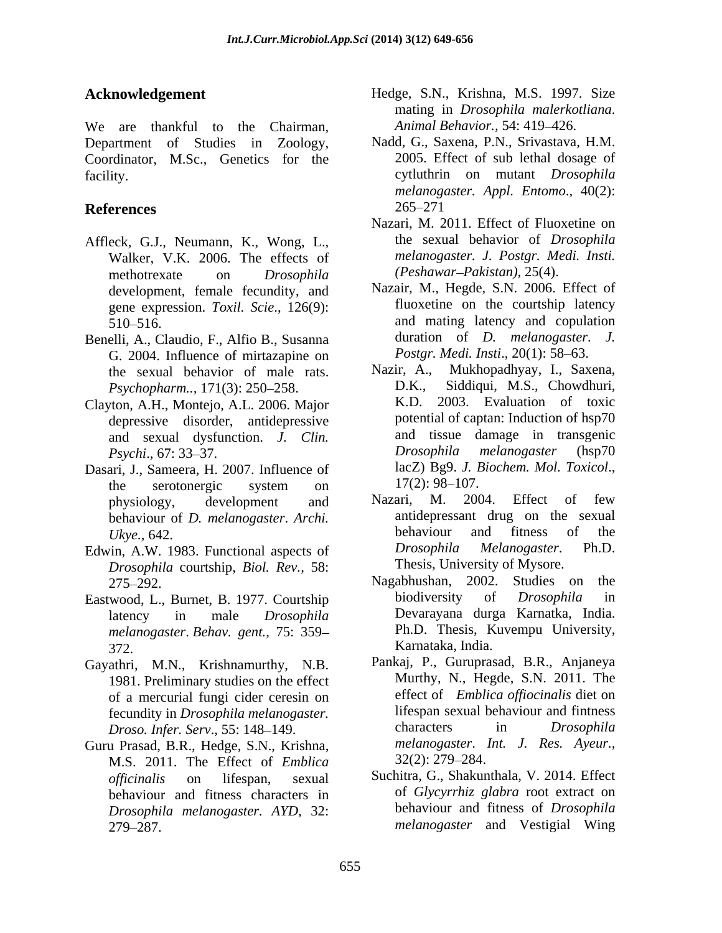We are thankful to the Chairman, Department of Studies in Zoology, Coordinator, M.Sc., Genetics for the

- Affleck, G.J., Neumann, K., Wong, L., Walker, V.K. 2006. The effects of methotrexate on *Drosophila* development, female fecundity, and gene expression. *Toxil. Scie*., 126(9):
- Benelli, A., Claudio, F., Alfio B., Susanna G. 2004. Influence of mirtazapine on *Postgr. Medi. Insti.*, 20(1): 58–63.<br>
the sexual behavior of male rats Nazir, A., Mukhopadhyay, I., Saxena, *Psychopharm..,* 171(3): 250–258.
- Clayton, A.H., Montejo, A.L. 2006. Major depressive disorder, antidepressive
- Dasari, J., Sameera, H. 2007. Influence of lacZ) Bg9. J. I<br>the serotonergic system on  $17(2)$ : 98–107. the serotonergic system on  $17(2): 98-107$ .
- *Drosophila* courtship, *Biol. Rev.,* 58:
- *melanogaster*. *Behav. gent.,* 75: 359
- Gayathri, M.N., Krishnamurthy, N.B. 1981. Preliminary studies on the effect of a mercurial fungi cider ceresin on *Droso. Infer. Serv.*, 55: 148-149.
- Guru Prasad, B.R., Hedge, S.N., Krishna, *melanogaster*.<br>M.S. 2011, The Effect of *Emblica* 32(2): 279–284. M.S. 2011. The Effect of *Emblica*  behaviour and fitness characters in *Drosophila melanogaster. AYD,* 32: 279 287. *melanogaster* and Vestigial Wing
- **Acknowledgement** Hedge, S.N., Krishna, M.S. 1997. Size mating in *Drosophila malerkotliana*. *Animal Behavior.,* 54: 419-426.
- facility. cytluthrin on mutant *Drosophila* **References** 265–271 Nadd, G., Saxena, P.N., Srivastava, H.M. 2005. Effect of sub lethal dosage of *melanogaster. Appl. Entomo*., 40(2): 265 271
	- Nazari, M. 2011. Effect of Fluoxetine on the sexual behavior of *Drosophila melanogaster. J. Postgr. Medi. Insti. (Peshawar Pakistan),* 25(4).
	- 510 516. and mating latency and copulation Nazair, M., Hegde, S.N. 2006. Effect of fluoxetine on the courtship latency duration of *D. melanogaster*. *J. Postgr. Medi. Insti.*, 20(1): 58–63.
	- the sexual behavior of male rats. Nazir, A., Mukhopadhyay, I., Saxena,<br>Psychonharm 171(3): 250–258 D.K., Siddiqui, M.S., Chowdhuri, and sexual dysfunction. *J. Clin.* and tissue damage in transgenic <br>*Psychi* 67:33–37 *Drosophila melanogaster* (hsp70 *Psychi.*, 67: 33–37. *Drosophila melanogaster* (hsp70 Nazir, A., Mukhopadhyay, I., Saxena, D.K., Siddiqui, M.S., Chowdhuri, K.D. 2003. Evaluation of toxic potential of captan: Induction of hsp70 and tissue damage in transgenic *Drosophila melanogaster* (hsp70 lacZ) Bg9. *J. Biochem. Mol. Toxicol*.,  $17(2)$ : 98–107.
- physiology, development and Nazari, M. 2004. Effect of few behaviour of *D. melanogaster. Archi.* antidepressant drug on the sexual behaviour and fitness of the *Ukye.,* 642. Edwin, A.W. 1983. Functional aspects of *Drosophila Melanogaster*. Ph.D. Nazari, M. 2004. Effect of few antidepressant drug on the sexual behaviour and fitness of the *Drosophila Melanogaster*. Ph.D. Thesis, University of Mysore.
- 275 292. Nagabhushan, 2002. Studies on the Eastwood, L., Burnet, B. 1977. Courtship biodiversity of *Drosophila* in latency in male *Drosophila* Devarayana durga Karnatka, India.<br>
melanogaster Behav gent 75: 359-<br>
Ph.D. Thesis, Kuvempu University, 372. Karnataka, India. biodiversity of *Drosophila* in Devarayana durga Karnatka, India. Ph.D. Thesis, Kuvempu University,
	- fecundity in *Drosophila melanogaster*. lifespan sexual behaviour and fintness<br>*Droso Infer Serv* 55:148–149 characters in *Drosophila* Pankaj, P., Guruprasad, B.R., Anjaneya Murthy, N., Hegde, S.N. 2011. The effect of *Emblica of iocinalis* diet on lifespan sexual behaviour and fintness characters in *Drosophila melanogaster*. *Int. J. Res. Ayeur.,* 32(2): 279 284.
	- *officinalis* on lifespan, sexual Suchitra, G., Shakunthala, V. 2014. Effect of *Glycyrrhiz glabra* root extract on behaviour and fitness of *Drosophila*